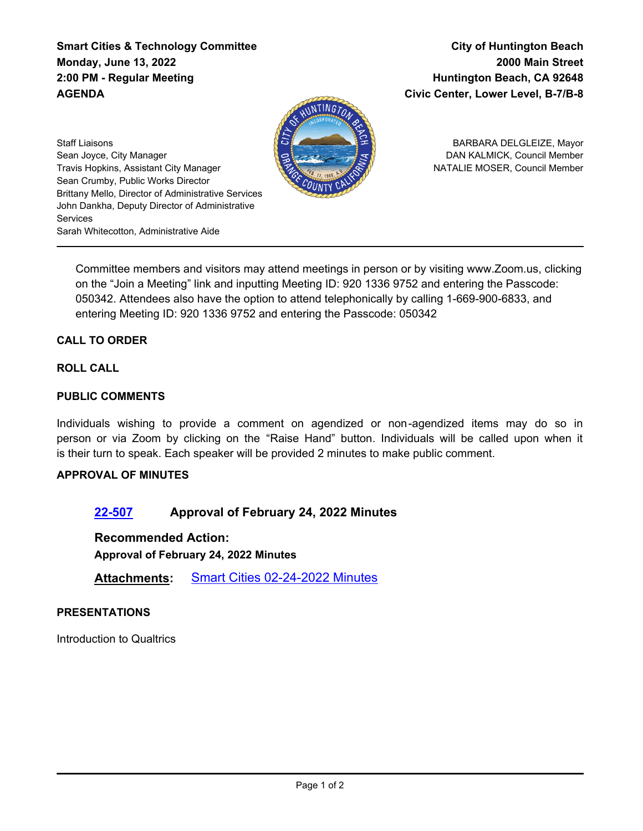**Smart Cities & Technology Committee Monday, June 13, 2022 2:00 PM - Regular Meeting AGENDA**

**City of Huntington Beach 2000 Main Street Huntington Beach, CA 92648 Civic Center, Lower Level, B-7/B-8**



BARBARA DELGLEIZE, Mayor DAN KALMICK, Council Member NATALIE MOSER, Council Member

Staff Liaisons Sean Joyce, City Manager Travis Hopkins, Assistant City Manager Sean Crumby, Public Works Director Brittany Mello, Director of Administrative Services John Dankha, Deputy Director of Administrative **Services** Sarah Whitecotton, Administrative Aide

Committee members and visitors may attend meetings in person or by visiting www.Zoom.us, clicking on the "Join a Meeting" link and inputting Meeting ID: 920 1336 9752 and entering the Passcode: 050342. Attendees also have the option to attend telephonically by calling 1-669-900-6833, and entering Meeting ID: 920 1336 9752 and entering the Passcode: 050342

# **CALL TO ORDER**

### **ROLL CALL**

### **PUBLIC COMMENTS**

Individuals wishing to provide a comment on agendized or non-agendized items may do so in person or via Zoom by clicking on the "Raise Hand" button. Individuals will be called upon when it is their turn to speak. Each speaker will be provided 2 minutes to make public comment.

### **APPROVAL OF MINUTES**

## **[22-507](http://huntingtonbeach.legistar.com/gateway.aspx?m=l&id=/matter.aspx?key=5619) Approval of February 24, 2022 Minutes**

**Recommended Action:**

**Approval of February 24, 2022 Minutes**

**Attachments:** [Smart Cities 02-24-2022 Minutes](http://huntingtonbeach.legistar.com/gateway.aspx?M=F&ID=7d86b3bd-afee-48f4-a833-b577e2f44f86.pdf)

### **PRESENTATIONS**

Introduction to Qualtrics